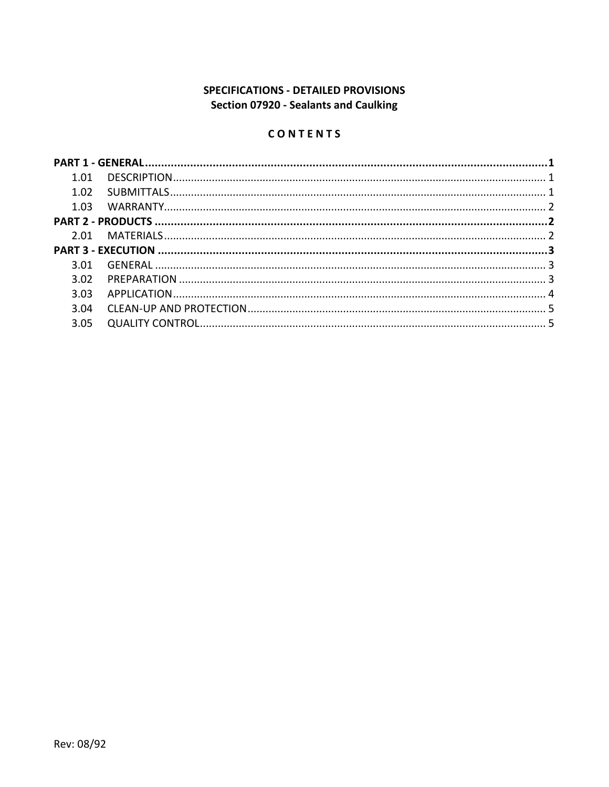# **SPECIFICATIONS - DETAILED PROVISIONS** Section 07920 - Sealants and Caulking

# CONTENTS

| 1.01 |  |
|------|--|
| 1.02 |  |
|      |  |
|      |  |
|      |  |
|      |  |
| 3.01 |  |
| 3.02 |  |
| 3.03 |  |
| 3.04 |  |
| 3.05 |  |
|      |  |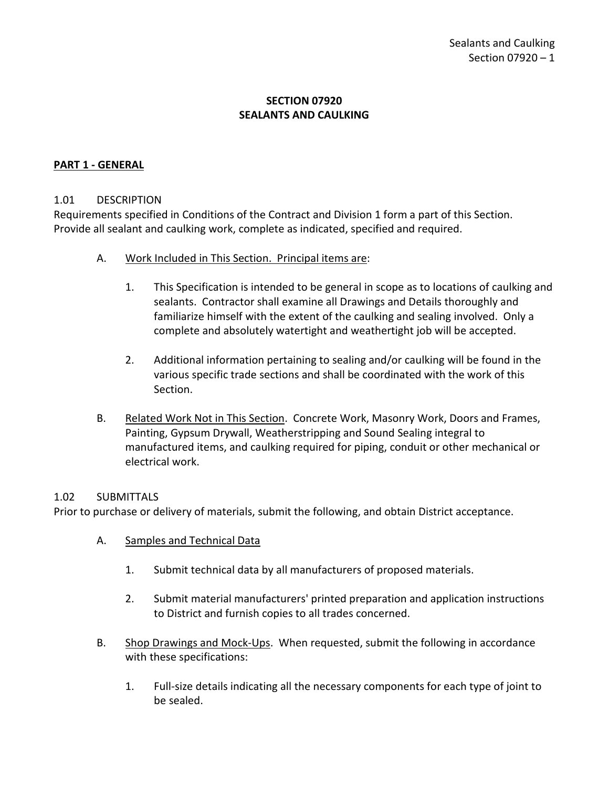# **SECTION 07920 SEALANTS AND CAULKING**

### <span id="page-2-0"></span>**PART 1 - GENERAL**

#### <span id="page-2-1"></span>1.01 DESCRIPTION

Requirements specified in Conditions of the Contract and Division 1 form a part of this Section. Provide all sealant and caulking work, complete as indicated, specified and required.

- A. Work Included in This Section. Principal items are:
	- 1. This Specification is intended to be general in scope as to locations of caulking and sealants. Contractor shall examine all Drawings and Details thoroughly and familiarize himself with the extent of the caulking and sealing involved. Only a complete and absolutely watertight and weathertight job will be accepted.
	- 2. Additional information pertaining to sealing and/or caulking will be found in the various specific trade sections and shall be coordinated with the work of this Section.
- B. Related Work Not in This Section. Concrete Work, Masonry Work, Doors and Frames, Painting, Gypsum Drywall, Weatherstripping and Sound Sealing integral to manufactured items, and caulking required for piping, conduit or other mechanical or electrical work.

#### <span id="page-2-2"></span>1.02 SUBMITTALS

Prior to purchase or delivery of materials, submit the following, and obtain District acceptance.

- A. Samples and Technical Data
	- 1. Submit technical data by all manufacturers of proposed materials.
	- 2. Submit material manufacturers' printed preparation and application instructions to District and furnish copies to all trades concerned.
- B. Shop Drawings and Mock-Ups. When requested, submit the following in accordance with these specifications:
	- 1. Full-size details indicating all the necessary components for each type of joint to be sealed.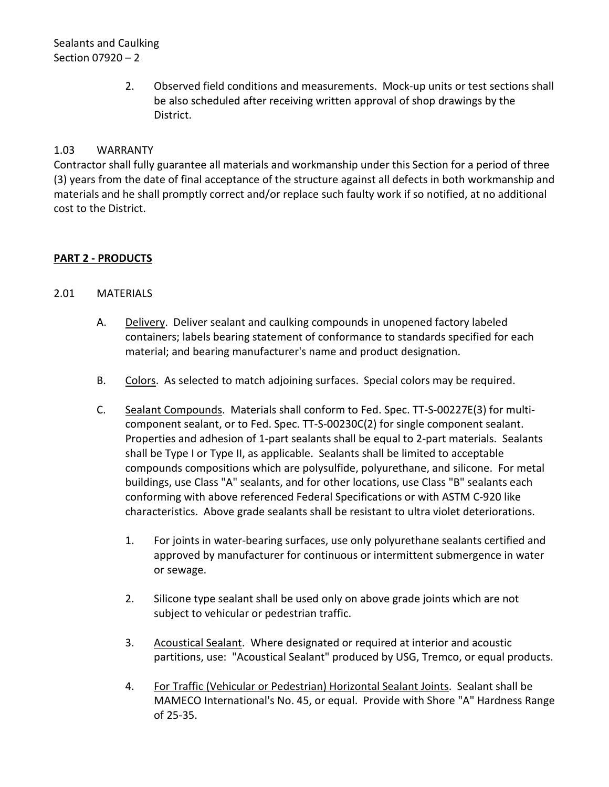Sealants and Caulking Section 07920 – 2

> 2. Observed field conditions and measurements. Mock-up units or test sections shall be also scheduled after receiving written approval of shop drawings by the District.

## <span id="page-3-0"></span>1.03 WARRANTY

Contractor shall fully guarantee all materials and workmanship under this Section for a period of three (3) years from the date of final acceptance of the structure against all defects in both workmanship and materials and he shall promptly correct and/or replace such faulty work if so notified, at no additional cost to the District.

#### <span id="page-3-1"></span>**PART 2 - PRODUCTS**

#### <span id="page-3-2"></span>2.01 MATERIALS

- A. Delivery. Deliver sealant and caulking compounds in unopened factory labeled containers; labels bearing statement of conformance to standards specified for each material; and bearing manufacturer's name and product designation.
- B. Colors. As selected to match adjoining surfaces. Special colors may be required.
- C. Sealant Compounds. Materials shall conform to Fed. Spec. TT-S-00227E(3) for multicomponent sealant, or to Fed. Spec. TT-S-00230C(2) for single component sealant. Properties and adhesion of 1-part sealants shall be equal to 2-part materials. Sealants shall be Type I or Type II, as applicable. Sealants shall be limited to acceptable compounds compositions which are polysulfide, polyurethane, and silicone. For metal buildings, use Class "A" sealants, and for other locations, use Class "B" sealants each conforming with above referenced Federal Specifications or with ASTM C-920 like characteristics. Above grade sealants shall be resistant to ultra violet deteriorations.
	- 1. For joints in water-bearing surfaces, use only polyurethane sealants certified and approved by manufacturer for continuous or intermittent submergence in water or sewage.
	- 2. Silicone type sealant shall be used only on above grade joints which are not subject to vehicular or pedestrian traffic.
	- 3. Acoustical Sealant. Where designated or required at interior and acoustic partitions, use: "Acoustical Sealant" produced by USG, Tremco, or equal products.
	- 4. For Traffic (Vehicular or Pedestrian) Horizontal Sealant Joints. Sealant shall be MAMECO International's No. 45, or equal. Provide with Shore "A" Hardness Range of 25-35.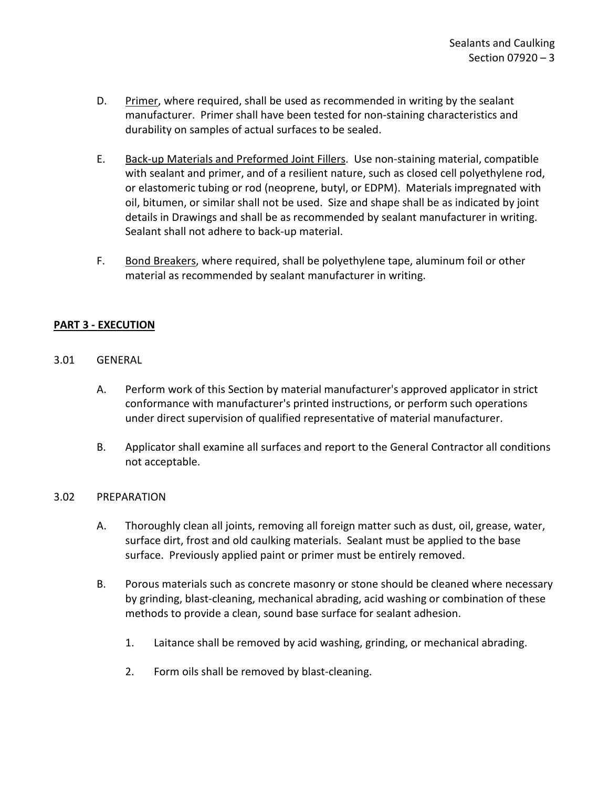- D. Primer, where required, shall be used as recommended in writing by the sealant manufacturer. Primer shall have been tested for non-staining characteristics and durability on samples of actual surfaces to be sealed.
- E. Back-up Materials and Preformed Joint Fillers. Use non-staining material, compatible with sealant and primer, and of a resilient nature, such as closed cell polyethylene rod, or elastomeric tubing or rod (neoprene, butyl, or EDPM). Materials impregnated with oil, bitumen, or similar shall not be used. Size and shape shall be as indicated by joint details in Drawings and shall be as recommended by sealant manufacturer in writing. Sealant shall not adhere to back-up material.
- F. Bond Breakers, where required, shall be polyethylene tape, aluminum foil or other material as recommended by sealant manufacturer in writing.

# <span id="page-4-0"></span>**PART 3 - EXECUTION**

- <span id="page-4-1"></span>3.01 GENERAL
	- A. Perform work of this Section by material manufacturer's approved applicator in strict conformance with manufacturer's printed instructions, or perform such operations under direct supervision of qualified representative of material manufacturer.
	- B. Applicator shall examine all surfaces and report to the General Contractor all conditions not acceptable.

# <span id="page-4-2"></span>3.02 PREPARATION

- A. Thoroughly clean all joints, removing all foreign matter such as dust, oil, grease, water, surface dirt, frost and old caulking materials. Sealant must be applied to the base surface. Previously applied paint or primer must be entirely removed.
- B. Porous materials such as concrete masonry or stone should be cleaned where necessary by grinding, blast-cleaning, mechanical abrading, acid washing or combination of these methods to provide a clean, sound base surface for sealant adhesion.
	- 1. Laitance shall be removed by acid washing, grinding, or mechanical abrading.
	- 2. Form oils shall be removed by blast-cleaning.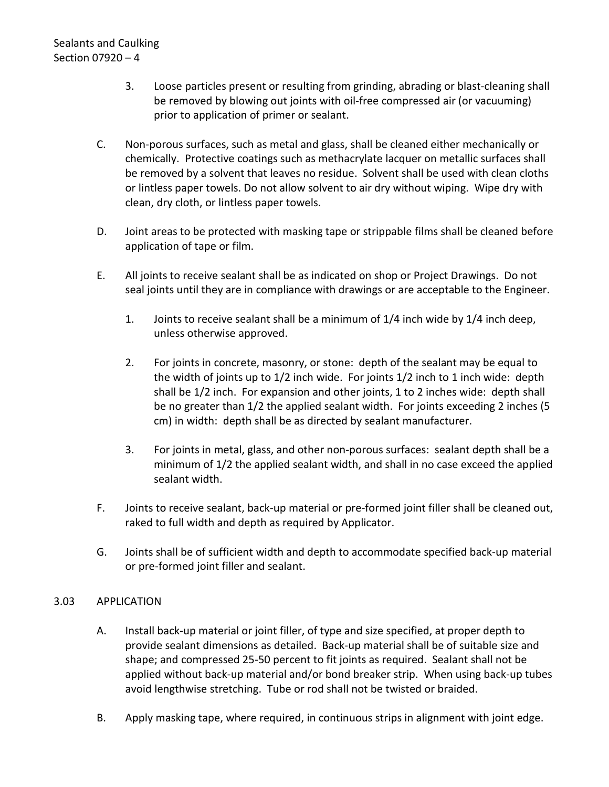- 3. Loose particles present or resulting from grinding, abrading or blast-cleaning shall be removed by blowing out joints with oil-free compressed air (or vacuuming) prior to application of primer or sealant.
- C. Non-porous surfaces, such as metal and glass, shall be cleaned either mechanically or chemically. Protective coatings such as methacrylate lacquer on metallic surfaces shall be removed by a solvent that leaves no residue. Solvent shall be used with clean cloths or lintless paper towels. Do not allow solvent to air dry without wiping. Wipe dry with clean, dry cloth, or lintless paper towels.
- D. Joint areas to be protected with masking tape or strippable films shall be cleaned before application of tape or film.
- E. All joints to receive sealant shall be as indicated on shop or Project Drawings. Do not seal joints until they are in compliance with drawings or are acceptable to the Engineer.
	- 1. Joints to receive sealant shall be a minimum of 1/4 inch wide by 1/4 inch deep, unless otherwise approved.
	- 2. For joints in concrete, masonry, or stone: depth of the sealant may be equal to the width of joints up to 1/2 inch wide. For joints 1/2 inch to 1 inch wide: depth shall be 1/2 inch. For expansion and other joints, 1 to 2 inches wide: depth shall be no greater than 1/2 the applied sealant width. For joints exceeding 2 inches (5 cm) in width: depth shall be as directed by sealant manufacturer.
	- 3. For joints in metal, glass, and other non-porous surfaces: sealant depth shall be a minimum of 1/2 the applied sealant width, and shall in no case exceed the applied sealant width.
- F. Joints to receive sealant, back-up material or pre-formed joint filler shall be cleaned out, raked to full width and depth as required by Applicator.
- G. Joints shall be of sufficient width and depth to accommodate specified back-up material or pre-formed joint filler and sealant.

# <span id="page-5-0"></span>3.03 APPLICATION

- A. Install back-up material or joint filler, of type and size specified, at proper depth to provide sealant dimensions as detailed. Back-up material shall be of suitable size and shape; and compressed 25-50 percent to fit joints as required. Sealant shall not be applied without back-up material and/or bond breaker strip. When using back-up tubes avoid lengthwise stretching. Tube or rod shall not be twisted or braided.
- B. Apply masking tape, where required, in continuous strips in alignment with joint edge.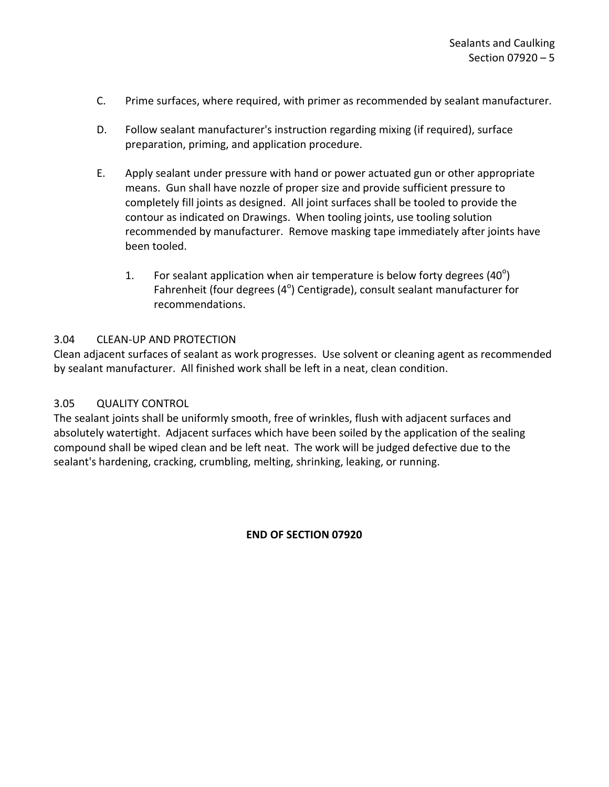- C. Prime surfaces, where required, with primer as recommended by sealant manufacturer.
- D. Follow sealant manufacturer's instruction regarding mixing (if required), surface preparation, priming, and application procedure.
- E. Apply sealant under pressure with hand or power actuated gun or other appropriate means. Gun shall have nozzle of proper size and provide sufficient pressure to completely fill joints as designed. All joint surfaces shall be tooled to provide the contour as indicated on Drawings. When tooling joints, use tooling solution recommended by manufacturer. Remove masking tape immediately after joints have been tooled.
	- 1. For sealant application when air temperature is below forty degrees  $(40^{\circ})$ Fahrenheit (four degrees (4<sup>o</sup>) Centigrade), consult sealant manufacturer for recommendations.

#### <span id="page-6-0"></span>3.04 CLEAN-UP AND PROTECTION

Clean adjacent surfaces of sealant as work progresses. Use solvent or cleaning agent as recommended by sealant manufacturer. All finished work shall be left in a neat, clean condition.

#### <span id="page-6-1"></span>3.05 QUALITY CONTROL

The sealant joints shall be uniformly smooth, free of wrinkles, flush with adjacent surfaces and absolutely watertight. Adjacent surfaces which have been soiled by the application of the sealing compound shall be wiped clean and be left neat. The work will be judged defective due to the sealant's hardening, cracking, crumbling, melting, shrinking, leaking, or running.

#### **END OF SECTION 07920**